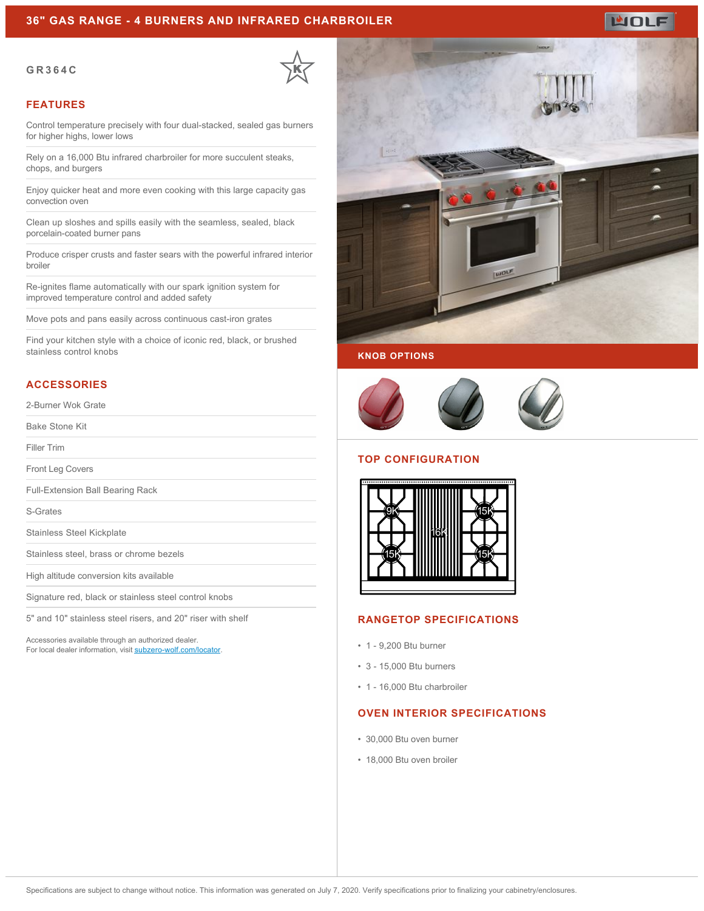### **36" GAS RANGE - 4 BURNERS AND INFRARED CHARBROILER**

#### **GR364C**



#### **FEATURES**

Control temperature precisely with four dual-stacked, sealed gas burners for higher highs, lower lows

Rely on a 16,000 Btu infrared charbroiler for more succulent steaks, chops, and burgers

Enjoy quicker heat and more even cooking with this large capacity gas convection oven

Clean up sloshes and spills easily with the seamless, sealed, black porcelain-coated burner pans

Produce crisper crusts and faster sears with the powerful infrared interior broiler

Re-ignites flame automatically with our spark ignition system for improved temperature control and added safety

Move pots and pans easily across continuous cast-iron grates

Find your kitchen style with a choice of iconic red, black, or brushed stainless control knobs

## **ACCESSORIES**

2-Burner Wok Grate

Bake Stone Kit

Filler Trim

Front Leg Covers

Full-Extension Ball Bearing Rack

S-Grates

Stainless Steel Kickplate

Stainless steel, brass or chrome bezels

High altitude conversion kits available

Signature red, black or stainless steel control knobs

5" and 10" stainless steel risers, and 20" riser with shelf

Accessories available through an authorized dealer. For local dealer information, visit [subzero-wolf.com/locator.](http://www.subzero-wolf.com/locator)



**WOLF** 





## **TOP CONFIGURATION**



## **RANGETOP SPECIFICATIONS**

- 1 9,200 Btu burner
- 3 15,000 Btu burners
- 1 16,000 Btu charbroiler

#### **OVEN INTERIOR SPECIFICATIONS**

- 30,000 Btu oven burner
- 18,000 Btu oven broiler